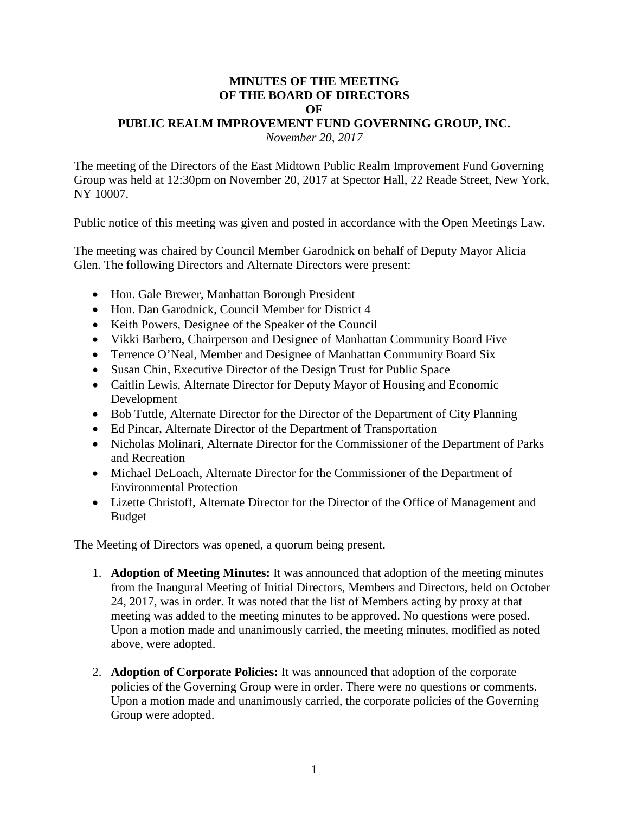## **MINUTES OF THE MEETING OF THE BOARD OF DIRECTORS OF PUBLIC REALM IMPROVEMENT FUND GOVERNING GROUP, INC.** *November 20, 2017*

The meeting of the Directors of the East Midtown Public Realm Improvement Fund Governing Group was held at 12:30pm on November 20, 2017 at Spector Hall, 22 Reade Street, New York, NY 10007.

Public notice of this meeting was given and posted in accordance with the Open Meetings Law.

The meeting was chaired by Council Member Garodnick on behalf of Deputy Mayor Alicia Glen. The following Directors and Alternate Directors were present:

- Hon. Gale Brewer, Manhattan Borough President
- Hon. Dan Garodnick, Council Member for District 4
- Keith Powers, Designee of the Speaker of the Council
- Vikki Barbero, Chairperson and Designee of Manhattan Community Board Five
- Terrence O'Neal, Member and Designee of Manhattan Community Board Six
- Susan Chin, Executive Director of the Design Trust for Public Space
- Caitlin Lewis, Alternate Director for Deputy Mayor of Housing and Economic Development
- Bob Tuttle, Alternate Director for the Director of the Department of City Planning
- Ed Pincar, Alternate Director of the Department of Transportation
- Nicholas Molinari, Alternate Director for the Commissioner of the Department of Parks and Recreation
- Michael DeLoach, Alternate Director for the Commissioner of the Department of Environmental Protection
- Lizette Christoff, Alternate Director for the Director of the Office of Management and Budget

The Meeting of Directors was opened, a quorum being present.

- 1. **Adoption of Meeting Minutes:** It was announced that adoption of the meeting minutes from the Inaugural Meeting of Initial Directors, Members and Directors, held on October 24, 2017, was in order. It was noted that the list of Members acting by proxy at that meeting was added to the meeting minutes to be approved. No questions were posed. Upon a motion made and unanimously carried, the meeting minutes, modified as noted above, were adopted.
- 2. **Adoption of Corporate Policies:** It was announced that adoption of the corporate policies of the Governing Group were in order. There were no questions or comments. Upon a motion made and unanimously carried, the corporate policies of the Governing Group were adopted.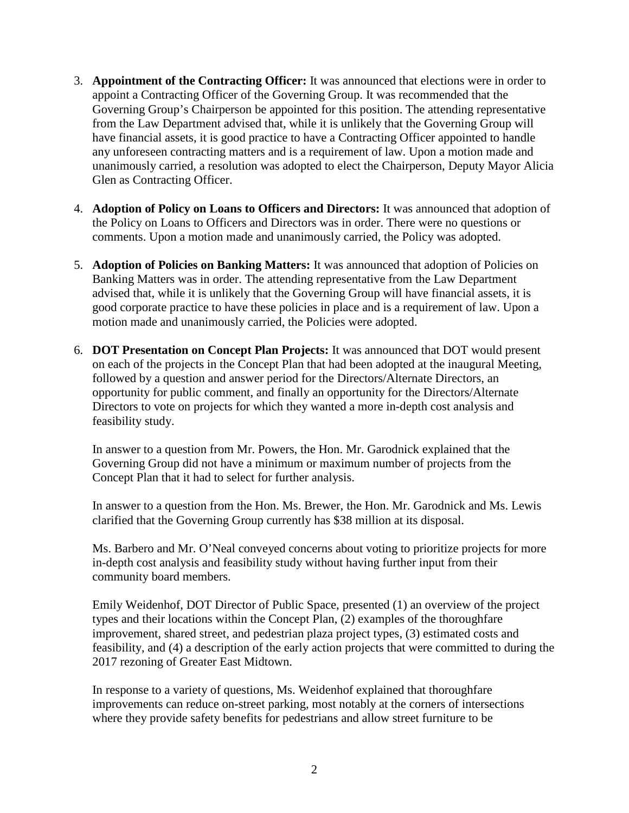- 3. **Appointment of the Contracting Officer:** It was announced that elections were in order to appoint a Contracting Officer of the Governing Group. It was recommended that the Governing Group's Chairperson be appointed for this position. The attending representative from the Law Department advised that, while it is unlikely that the Governing Group will have financial assets, it is good practice to have a Contracting Officer appointed to handle any unforeseen contracting matters and is a requirement of law. Upon a motion made and unanimously carried, a resolution was adopted to elect the Chairperson, Deputy Mayor Alicia Glen as Contracting Officer.
- 4. **Adoption of Policy on Loans to Officers and Directors:** It was announced that adoption of the Policy on Loans to Officers and Directors was in order. There were no questions or comments. Upon a motion made and unanimously carried, the Policy was adopted.
- 5. **Adoption of Policies on Banking Matters:** It was announced that adoption of Policies on Banking Matters was in order. The attending representative from the Law Department advised that, while it is unlikely that the Governing Group will have financial assets, it is good corporate practice to have these policies in place and is a requirement of law. Upon a motion made and unanimously carried, the Policies were adopted.
- 6. **DOT Presentation on Concept Plan Projects:** It was announced that DOT would present on each of the projects in the Concept Plan that had been adopted at the inaugural Meeting, followed by a question and answer period for the Directors/Alternate Directors, an opportunity for public comment, and finally an opportunity for the Directors/Alternate Directors to vote on projects for which they wanted a more in-depth cost analysis and feasibility study.

In answer to a question from Mr. Powers, the Hon. Mr. Garodnick explained that the Governing Group did not have a minimum or maximum number of projects from the Concept Plan that it had to select for further analysis.

In answer to a question from the Hon. Ms. Brewer, the Hon. Mr. Garodnick and Ms. Lewis clarified that the Governing Group currently has \$38 million at its disposal.

Ms. Barbero and Mr. O'Neal conveyed concerns about voting to prioritize projects for more in-depth cost analysis and feasibility study without having further input from their community board members.

Emily Weidenhof, DOT Director of Public Space, presented (1) an overview of the project types and their locations within the Concept Plan, (2) examples of the thoroughfare improvement, shared street, and pedestrian plaza project types, (3) estimated costs and feasibility, and (4) a description of the early action projects that were committed to during the 2017 rezoning of Greater East Midtown.

In response to a variety of questions, Ms. Weidenhof explained that thoroughfare improvements can reduce on-street parking, most notably at the corners of intersections where they provide safety benefits for pedestrians and allow street furniture to be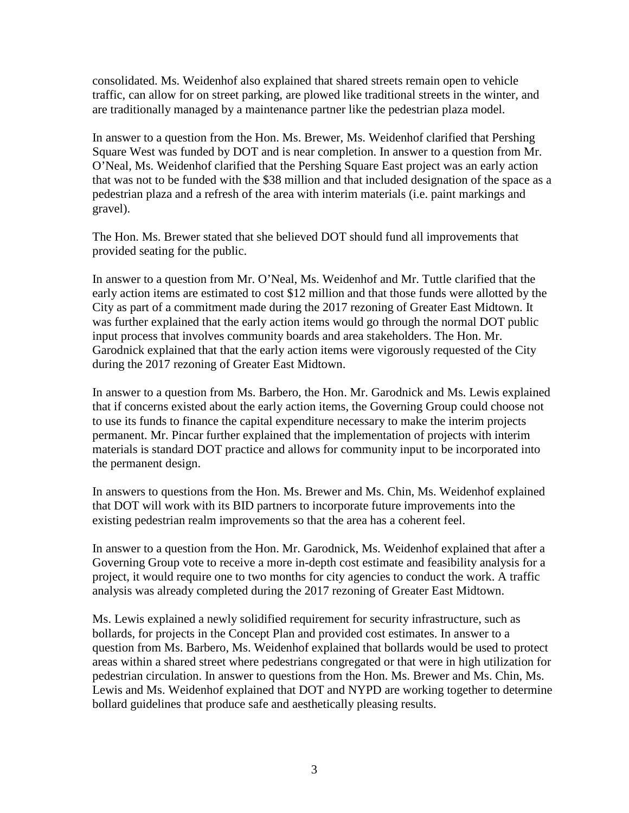consolidated. Ms. Weidenhof also explained that shared streets remain open to vehicle traffic, can allow for on street parking, are plowed like traditional streets in the winter, and are traditionally managed by a maintenance partner like the pedestrian plaza model.

In answer to a question from the Hon. Ms. Brewer, Ms. Weidenhof clarified that Pershing Square West was funded by DOT and is near completion. In answer to a question from Mr. O'Neal, Ms. Weidenhof clarified that the Pershing Square East project was an early action that was not to be funded with the \$38 million and that included designation of the space as a pedestrian plaza and a refresh of the area with interim materials (i.e. paint markings and gravel).

The Hon. Ms. Brewer stated that she believed DOT should fund all improvements that provided seating for the public.

In answer to a question from Mr. O'Neal, Ms. Weidenhof and Mr. Tuttle clarified that the early action items are estimated to cost \$12 million and that those funds were allotted by the City as part of a commitment made during the 2017 rezoning of Greater East Midtown. It was further explained that the early action items would go through the normal DOT public input process that involves community boards and area stakeholders. The Hon. Mr. Garodnick explained that that the early action items were vigorously requested of the City during the 2017 rezoning of Greater East Midtown.

In answer to a question from Ms. Barbero, the Hon. Mr. Garodnick and Ms. Lewis explained that if concerns existed about the early action items, the Governing Group could choose not to use its funds to finance the capital expenditure necessary to make the interim projects permanent. Mr. Pincar further explained that the implementation of projects with interim materials is standard DOT practice and allows for community input to be incorporated into the permanent design.

In answers to questions from the Hon. Ms. Brewer and Ms. Chin, Ms. Weidenhof explained that DOT will work with its BID partners to incorporate future improvements into the existing pedestrian realm improvements so that the area has a coherent feel.

In answer to a question from the Hon. Mr. Garodnick, Ms. Weidenhof explained that after a Governing Group vote to receive a more in-depth cost estimate and feasibility analysis for a project, it would require one to two months for city agencies to conduct the work. A traffic analysis was already completed during the 2017 rezoning of Greater East Midtown.

Ms. Lewis explained a newly solidified requirement for security infrastructure, such as bollards, for projects in the Concept Plan and provided cost estimates. In answer to a question from Ms. Barbero, Ms. Weidenhof explained that bollards would be used to protect areas within a shared street where pedestrians congregated or that were in high utilization for pedestrian circulation. In answer to questions from the Hon. Ms. Brewer and Ms. Chin, Ms. Lewis and Ms. Weidenhof explained that DOT and NYPD are working together to determine bollard guidelines that produce safe and aesthetically pleasing results.